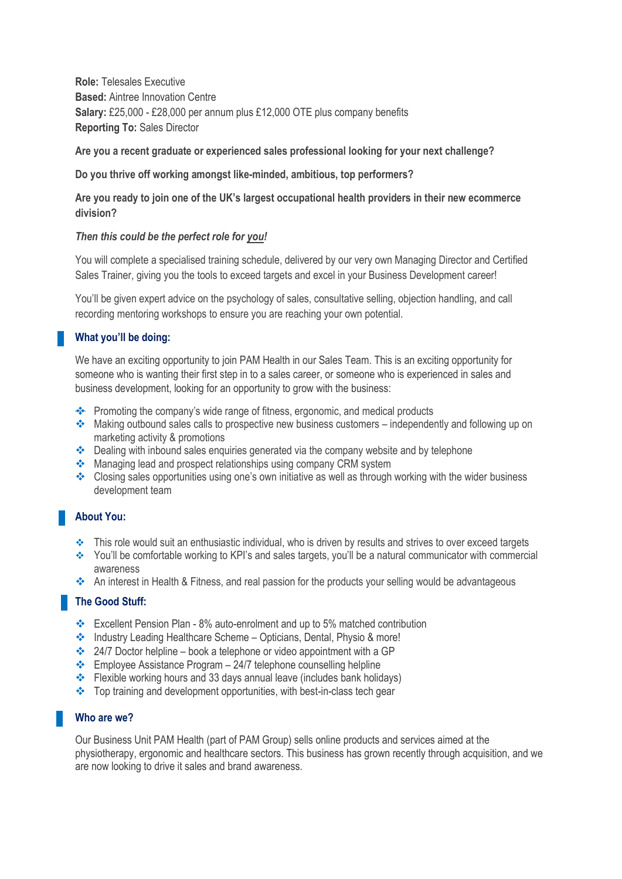**Role:** Telesales Executive **Based:** Aintree Innovation Centre **Salary:** £25,000 - £28,000 per annum plus £12,000 OTE plus company benefits **Reporting To:** Sales Director

**Are you a recent graduate or experienced sales professional looking for your next challenge?**

#### **Do you thrive off working amongst like-minded, ambitious, top performers?**

**Are you ready to join one of the UK's largest occupational health providers in their new ecommerce division?**

#### *Then this could be the perfect role for you!*

You will complete a specialised training schedule, delivered by our very own Managing Director and Certified Sales Trainer, giving you the tools to exceed targets and excel in your Business Development career!

You'll be given expert advice on the psychology of sales, consultative selling, objection handling, and call recording mentoring workshops to ensure you are reaching your own potential.

### **What you'll be doing:**

We have an exciting opportunity to join PAM Health in our Sales Team. This is an exciting opportunity for someone who is wanting their first step in to a sales career, or someone who is experienced in sales and business development, looking for an opportunity to grow with the business:

- ❖ Promoting the company's wide range of fitness, ergonomic, and medical products
- ❖ Making outbound sales calls to prospective new business customers independently and following up on marketing activity & promotions
- ❖ Dealing with inbound sales enquiries generated via the company website and by telephone
- ❖ Managing lead and prospect relationships using company CRM system
- ❖ Closing sales opportunities using one's own initiative as well as through working with the wider business development team

# **About You:**

- ❖ This role would suit an enthusiastic individual, who is driven by results and strives to over exceed targets
- ❖ You'll be comfortable working to KPI's and sales targets, you'll be a natural communicator with commercial awareness
- ❖ An interest in Health & Fitness, and real passion for the products your selling would be advantageous

### **The Good Stuff:**

- ❖ Excellent Pension Plan 8% auto-enrolment and up to 5% matched contribution
- ❖ Industry Leading Healthcare Scheme Opticians, Dental, Physio & more!
- ❖ 24/7 Doctor helpline book a telephone or video appointment with a GP
- $\cdot \cdot$  Employee Assistance Program 24/7 telephone counselling helpline
- ❖ Flexible working hours and 33 days annual leave (includes bank holidays)
- ❖ Top training and development opportunities, with best-in-class tech gear

# **Who are we?**

Our Business Unit PAM Health (part of PAM Group) sells online products and services aimed at the physiotherapy, ergonomic and healthcare sectors. This business has grown recently through acquisition, and we are now looking to drive it sales and brand awareness.